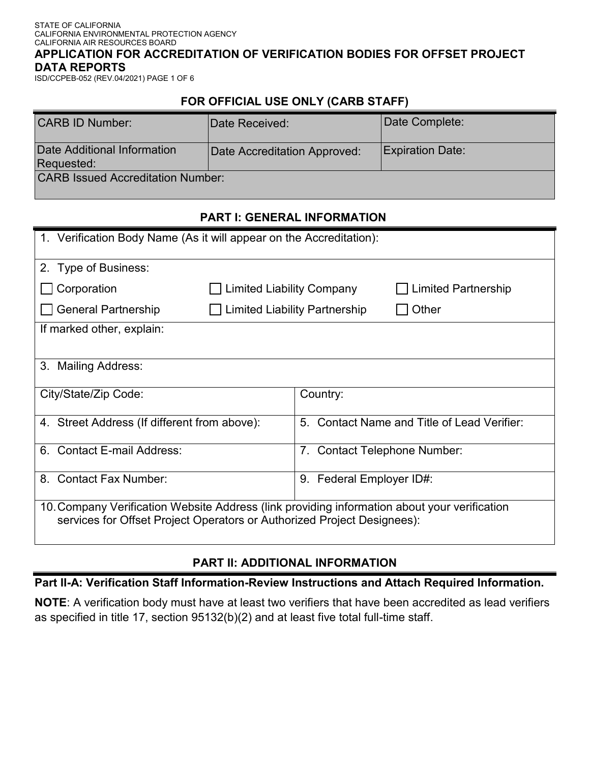#### STATE OF CALIFORNIA CALIFORNIA ENVIRONMENTAL PROTECTION AGENCY CALIFORNIA AIR RESOURCES BOARD **APPLICATION FOR ACCREDITATION OF VERIFICATION BODIES FOR OFFSET PROJECT DATA REPORTS**

ISD/CCPEB-052 (REV.04/2021) PAGE 1 OF 6

## **FOR OFFICIAL USE ONLY (CARB STAFF)**

| <b>CARB ID Number:</b>                    | Date Received:               | Date Complete:          |
|-------------------------------------------|------------------------------|-------------------------|
| Date Additional Information<br>Requested: | Date Accreditation Approved: | <b>Expiration Date:</b> |
| <b>CARB Issued Accreditation Number:</b>  |                              |                         |

## **PART I: GENERAL INFORMATION**

| 1. Verification Body Name (As it will appear on the Accreditation):                                                                                                     |                                      |                             |                                                 |
|-------------------------------------------------------------------------------------------------------------------------------------------------------------------------|--------------------------------------|-----------------------------|-------------------------------------------------|
| 2. Type of Business:                                                                                                                                                    |                                      |                             |                                                 |
| Corporation                                                                                                                                                             | <b>Limited Liability Company</b>     |                             | <b>Limited Partnership</b>                      |
| <b>General Partnership</b>                                                                                                                                              | <b>Limited Liability Partnership</b> |                             | Other                                           |
| If marked other, explain:                                                                                                                                               |                                      |                             |                                                 |
|                                                                                                                                                                         |                                      |                             |                                                 |
| 3. Mailing Address:                                                                                                                                                     |                                      |                             |                                                 |
| City/State/Zip Code:                                                                                                                                                    |                                      | Country:                    |                                                 |
|                                                                                                                                                                         |                                      |                             |                                                 |
| 4. Street Address (If different from above):                                                                                                                            |                                      | 5 <sub>1</sub>              | <b>Contact Name and Title of Lead Verifier:</b> |
| <b>Contact E-mail Address:</b><br>6.                                                                                                                                    |                                      | 7.                          | <b>Contact Telephone Number:</b>                |
| <b>Contact Fax Number:</b><br>8.                                                                                                                                        |                                      | Federal Employer ID#:<br>9. |                                                 |
| 10. Company Verification Website Address (link providing information about your verification<br>services for Offset Project Operators or Authorized Project Designees): |                                      |                             |                                                 |

# **PART II: ADDITIONAL INFORMATION**

**Part II-A: Verification Staff Information-Review Instructions and Attach Required Information.** 

**NOTE**: A verification body must have at least two verifiers that have been accredited as lead verifiers as specified in title 17, section 95132(b)(2) and at least five total full-time staff.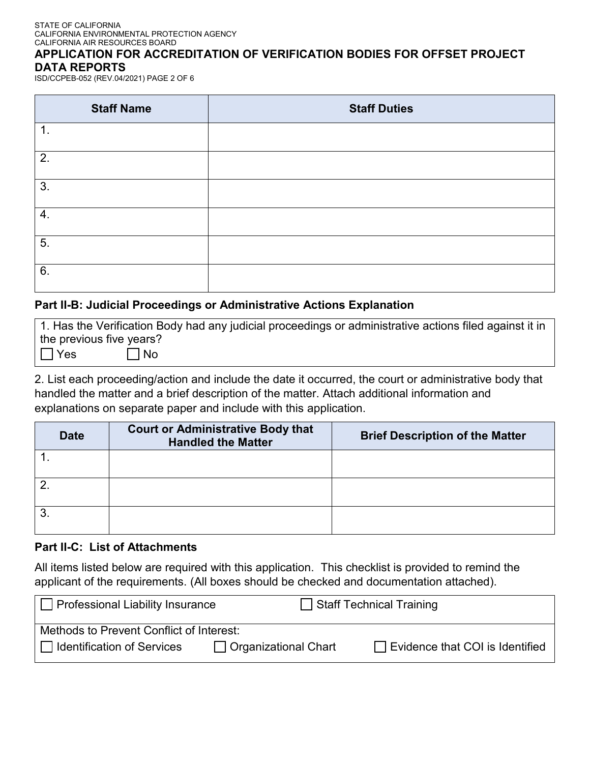#### STATE OF CALIFORNIA CALIFORNIA ENVIRONMENTAL PROTECTION AGENCY CALIFORNIA AIR RESOURCES BOARD

### **APPLICATION FOR ACCREDITATION OF VERIFICATION BODIES FOR OFFSET PROJECT DATA REPORTS**

ISD/CCPEB-052 (REV.04/2021) PAGE 2 OF 6

| <b>Staff Name</b> | <b>Staff Duties</b> |
|-------------------|---------------------|
| 1.                |                     |
| 2.                |                     |
| 3.                |                     |
| 4.                |                     |
| 5.                |                     |
| 6.                |                     |

## **Part II-B: Judicial Proceedings or Administrative Actions Explanation**

1. Has the Verification Body had any judicial proceedings or administrative actions filed against it in the previous five years?  $Yes \t | No$  $\overline{\phantom{0}}$ 

2. List each proceeding/action and include the date it occurred, the court or administrative body that handled the matter and a brief description of the matter. Attach additional information and explanations on separate paper and include with this application.

| <b>Date</b> | <b>Court or Administrative Body that</b><br><b>Handled the Matter</b> | <b>Brief Description of the Matter</b> |
|-------------|-----------------------------------------------------------------------|----------------------------------------|
|             |                                                                       |                                        |
|             |                                                                       |                                        |
|             |                                                                       |                                        |

### **Part II-C: List of Attachments**

All items listed below are required with this application. This checklist is provided to remind the applicant of the requirements. (All boxes should be checked and documentation attached).

| $\Box$ Professional Liability Insurance  |                        | Staff Technical Training               |
|------------------------------------------|------------------------|----------------------------------------|
| Methods to Prevent Conflict of Interest: |                        |                                        |
| I Identification of Services             | □ Organizational Chart | $\Box$ Evidence that COI is Identified |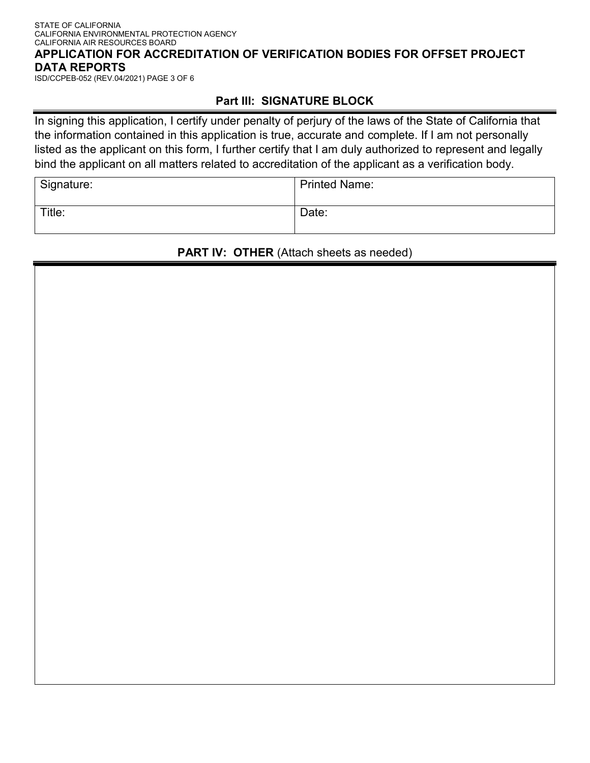#### STATE OF CALIFORNIA CALIFORNIA ENVIRONMENTAL PROTECTION AGENCY CALIFORNIA AIR RESOURCES BOARD **APPLICATION FOR ACCREDITATION OF VERIFICATION BODIES FOR OFFSET PROJECT DATA REPORTS**

ISD/CCPEB-052 (REV.04/2021) PAGE 3 OF 6

## **Part III: SIGNATURE BLOCK**

In signing this application, I certify under penalty of perjury of the laws of the State of California that the information contained in this application is true, accurate and complete. If I am not personally listed as the applicant on this form, I further certify that I am duly authorized to represent and legally bind the applicant on all matters related to accreditation of the applicant as a verification body.

| Signature: | <b>Printed Name:</b> |
|------------|----------------------|
| Title:     | Date:                |

### **PART IV: OTHER** (Attach sheets as needed)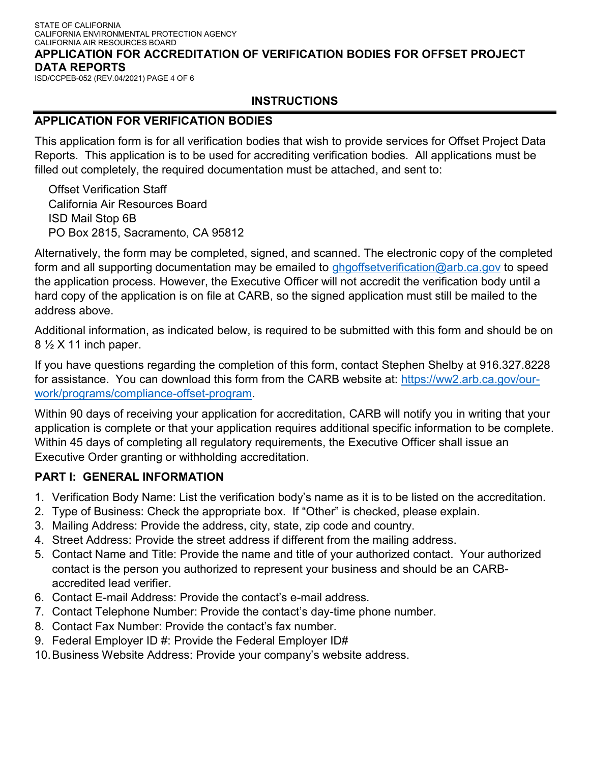#### STATE OF CALIFORNIA CALIFORNIA ENVIRONMENTAL PROTECTION AGENCY CALIFORNIA AIR RESOURCES BOARD **APPLICATION FOR ACCREDITATION OF VERIFICATION BODIES FOR OFFSET PROJECT DATA REPORTS**

ISD/CCPEB-052 (REV.04/2021) PAGE 4 OF 6

## **INSTRUCTIONS**

## **APPLICATION FOR VERIFICATION BODIES**

This application form is for all verification bodies that wish to provide services for Offset Project Data Reports. This application is to be used for accrediting verification bodies. All applications must be filled out completely, the required documentation must be attached, and sent to:

Offset Verification Staff California Air Resources Board ISD Mail Stop 6B PO Box 2815, Sacramento, CA 95812

Alternatively, the form may be completed, signed, and scanned. The electronic copy of the completed form and all supporting documentation may be emailed to [ghgoffsetverification@arb.ca.gov](mailto:ghgoffsetverification@arb.ca.gov) to speed the application process. However, the Executive Officer will not accredit the verification body until a hard copy of the application is on file at CARB, so the signed application must still be mailed to the address above.

Additional information, as indicated below, is required to be submitted with this form and should be on 8 ½ X 11 inch paper.

If you have questions regarding the completion of this form, contact Stephen Shelby at 916.327.8228 for assistance. You can download this form from the CARB website at: [https://ww2.arb.ca.gov/our](https://ww2.arb.ca.gov/our-work/programs/compliance-offset-program)[work/programs/compliance-offset-program.](https://ww2.arb.ca.gov/our-work/programs/compliance-offset-program)

Within 90 days of receiving your application for accreditation, CARB will notify you in writing that your application is complete or that your application requires additional specific information to be complete. Within 45 days of completing all regulatory requirements, the Executive Officer shall issue an Executive Order granting or withholding accreditation.

## **PART I: GENERAL INFORMATION**

- 1. Verification Body Name: List the verification body's name as it is to be listed on the accreditation.
- 2. Type of Business: Check the appropriate box. If "Other" is checked, please explain.
- 3. Mailing Address: Provide the address, city, state, zip code and country.
- 4. Street Address: Provide the street address if different from the mailing address.
- 5. Contact Name and Title: Provide the name and title of your authorized contact. Your authorized contact is the person you authorized to represent your business and should be an CARBaccredited lead verifier.
- 6. Contact E-mail Address: Provide the contact's e-mail address.
- 7. Contact Telephone Number: Provide the contact's day-time phone number.
- 8. Contact Fax Number: Provide the contact's fax number.
- 9. Federal Employer ID #: Provide the Federal Employer ID#
- 10.Business Website Address: Provide your company's website address.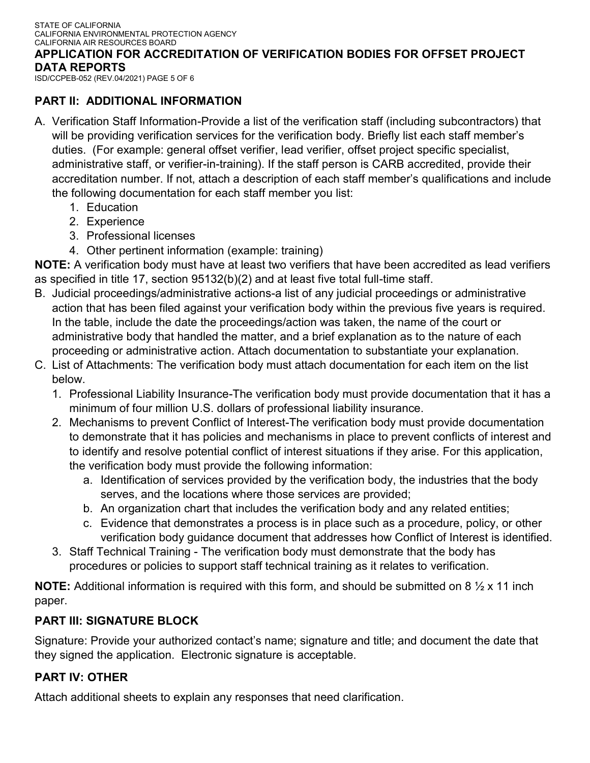ISD/CCPEB-052 (REV.04/2021) PAGE 5 OF 6

## **PART II: ADDITIONAL INFORMATION**

- A. Verification Staff Information-Provide a list of the verification staff (including subcontractors) that will be providing verification services for the verification body. Briefly list each staff member's duties. (For example: general offset verifier, lead verifier, offset project specific specialist, administrative staff, or verifier-in-training). If the staff person is CARB accredited, provide their accreditation number. If not, attach a description of each staff member's qualifications and include the following documentation for each staff member you list:
	- 1. Education
	- 2. Experience
	- 3. Professional licenses
	- 4. Other pertinent information (example: training)

**NOTE:** A verification body must have at least two verifiers that have been accredited as lead verifiers as specified in title 17, section 95132(b)(2) and at least five total full-time staff.

- B. Judicial proceedings/administrative actions-a list of any judicial proceedings or administrative action that has been filed against your verification body within the previous five years is required. In the table, include the date the proceedings/action was taken, the name of the court or administrative body that handled the matter, and a brief explanation as to the nature of each proceeding or administrative action. Attach documentation to substantiate your explanation.
- C. List of Attachments: The verification body must attach documentation for each item on the list below.
	- 1. Professional Liability Insurance-The verification body must provide documentation that it has a minimum of four million U.S. dollars of professional liability insurance.
	- 2. Mechanisms to prevent Conflict of Interest-The verification body must provide documentation to demonstrate that it has policies and mechanisms in place to prevent conflicts of interest and to identify and resolve potential conflict of interest situations if they arise. For this application, the verification body must provide the following information:
		- a. Identification of services provided by the verification body, the industries that the body serves, and the locations where those services are provided;
		- b. An organization chart that includes the verification body and any related entities;
		- c. Evidence that demonstrates a process is in place such as a procedure, policy, or other verification body guidance document that addresses how Conflict of Interest is identified.
	- 3. Staff Technical Training The verification body must demonstrate that the body has procedures or policies to support staff technical training as it relates to verification.

**NOTE:** Additional information is required with this form, and should be submitted on 8  $\frac{1}{2}$  x 11 inch paper.

## **PART III: SIGNATURE BLOCK**

Signature: Provide your authorized contact's name; signature and title; and document the date that they signed the application. Electronic signature is acceptable.

## **PART IV: OTHER**

Attach additional sheets to explain any responses that need clarification.